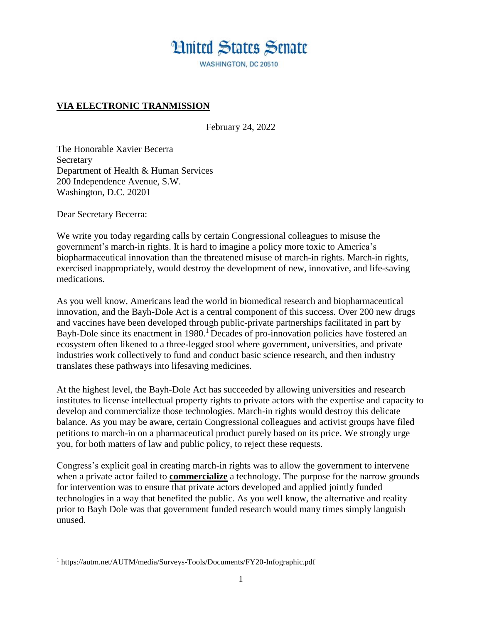## **Hnited States Senate**

WASHINGTON, DC 20510

## **VIA ELECTRONIC TRANMISSION**

February 24, 2022

The Honorable Xavier Becerra Secretary Department of Health & Human Services 200 Independence Avenue, S.W. Washington, D.C. 20201

Dear Secretary Becerra:

 $\overline{\phantom{a}}$ 

We write you today regarding calls by certain Congressional colleagues to misuse the government's march-in rights. It is hard to imagine a policy more toxic to America's biopharmaceutical innovation than the threatened misuse of march-in rights. March-in rights, exercised inappropriately, would destroy the development of new, innovative, and life-saving medications.

As you well know, Americans lead the world in biomedical research and biopharmaceutical innovation, and the Bayh-Dole Act is a central component of this success. Over 200 new drugs and vaccines have been developed through public-private partnerships facilitated in part by Bayh-Dole since its enactment in 1980.<sup>1</sup> Decades of pro-innovation policies have fostered an ecosystem often likened to a three-legged stool where government, universities, and private industries work collectively to fund and conduct basic science research, and then industry translates these pathways into lifesaving medicines.

At the highest level, the Bayh-Dole Act has succeeded by allowing universities and research institutes to license intellectual property rights to private actors with the expertise and capacity to develop and commercialize those technologies. March-in rights would destroy this delicate balance. As you may be aware, certain Congressional colleagues and activist groups have filed petitions to march-in on a pharmaceutical product purely based on its price. We strongly urge you, for both matters of law and public policy, to reject these requests.

Congress's explicit goal in creating march-in rights was to allow the government to intervene when a private actor failed to **commercialize** a technology. The purpose for the narrow grounds for intervention was to ensure that private actors developed and applied jointly funded technologies in a way that benefited the public. As you well know, the alternative and reality prior to Bayh Dole was that government funded research would many times simply languish unused.

<sup>1</sup> <https://autm.net/AUTM/media/Surveys-Tools/Documents/FY20-Infographic.pdf>